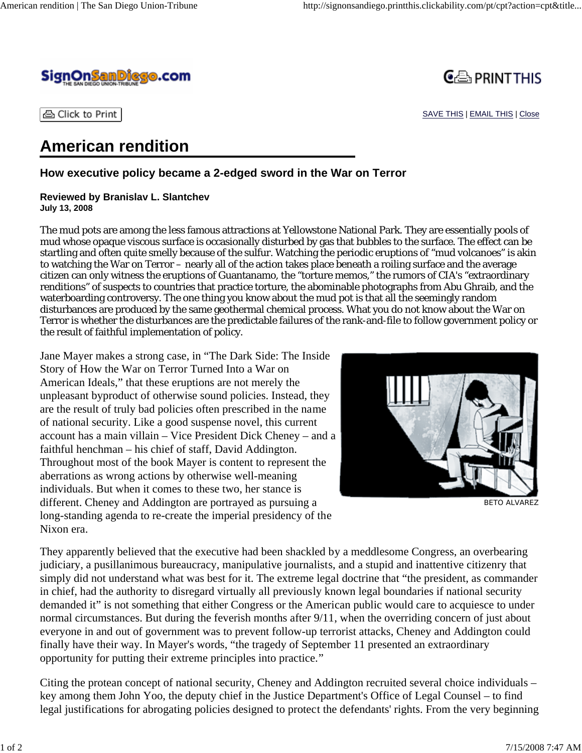



SAVE THIS | EMAIL THIS | Close

습 Click to Print

## **American rendition**

**How executive policy became a 2-edged sword in the War on Terror**

## **Reviewed by Branislav L. Slantchev July 13, 2008**

The mud pots are among the less famous attractions at Yellowstone National Park. They are essentially pools of mud whose opaque viscous surface is occasionally disturbed by gas that bubbles to the surface. The effect can be startling and often quite smelly because of the sulfur. Watching the periodic eruptions of "mud volcanoes" is akin to watching the War on Terror – nearly all of the action takes place beneath a roiling surface and the average citizen can only witness the eruptions of Guantanamo, the "torture memos," the rumors of CIA's "extraordinary renditions" of suspects to countries that practice torture, the abominable photographs from Abu Ghraib, and the waterboarding controversy. The one thing you know about the mud pot is that all the seemingly random disturbances are produced by the same geothermal chemical process. What you do not know about the War on Terror is whether the disturbances are the predictable failures of the rank-and-file to follow government policy or the result of faithful implementation of policy.

Jane Mayer makes a strong case, in "The Dark Side: The Inside Story of How the War on Terror Turned Into a War on American Ideals," that these eruptions are not merely the unpleasant byproduct of otherwise sound policies. Instead, they are the result of truly bad policies often prescribed in the name of national security. Like a good suspense novel, this current account has a main villain – Vice President Dick Cheney – and a faithful henchman – his chief of staff, David Addington. Throughout most of the book Mayer is content to represent the aberrations as wrong actions by otherwise well-meaning individuals. But when it comes to these two, her stance is different. Cheney and Addington are portrayed as pursuing a long-standing agenda to re-create the imperial presidency of the Nixon era.



BETO ALVAREZ

They apparently believed that the executive had been shackled by a meddlesome Congress, an overbearing judiciary, a pusillanimous bureaucracy, manipulative journalists, and a stupid and inattentive citizenry that simply did not understand what was best for it. The extreme legal doctrine that "the president, as commander in chief, had the authority to disregard virtually all previously known legal boundaries if national security demanded it" is not something that either Congress or the American public would care to acquiesce to under normal circumstances. But during the feverish months after 9/11, when the overriding concern of just about everyone in and out of government was to prevent follow-up terrorist attacks, Cheney and Addington could finally have their way. In Mayer's words, "the tragedy of September 11 presented an extraordinary opportunity for putting their extreme principles into practice."

Citing the protean concept of national security, Cheney and Addington recruited several choice individuals – key among them John Yoo, the deputy chief in the Justice Department's Office of Legal Counsel – to find legal justifications for abrogating policies designed to protect the defendants' rights. From the very beginning